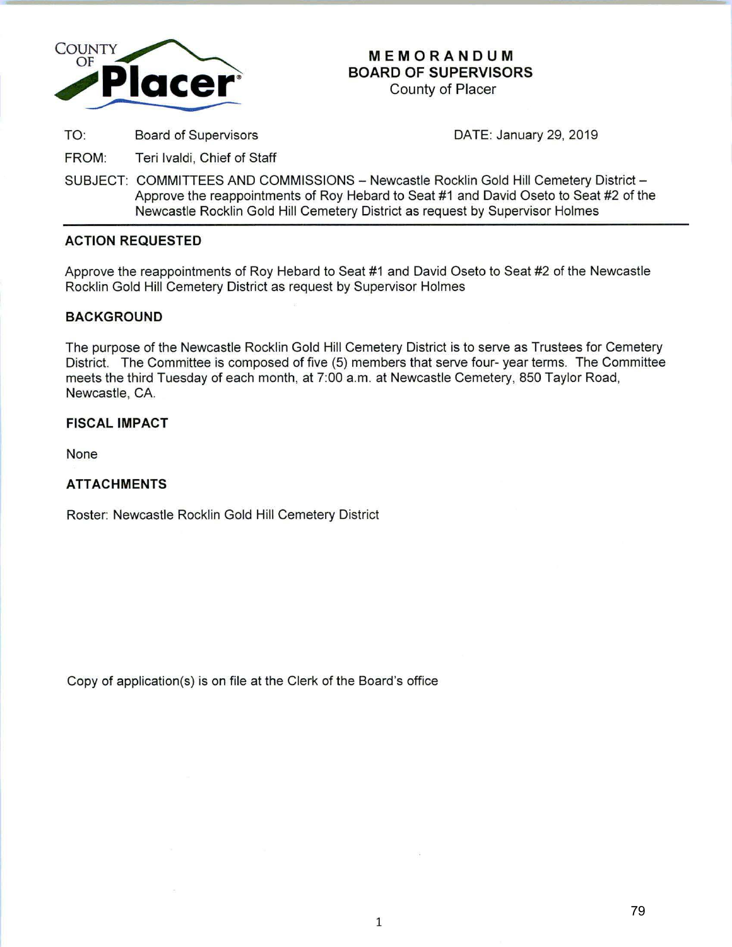

# **MEMORANDUM BOARD OF SUPERVISORS**

County of Placer

TO: Board of Supervisors

DATE: January 29, 2019

FROM: Teri lvaldi, Chief of Staff

SUBJECT: COMMITTEES AND COMMISSIONS - Newcastle Rocklin Gold Hill Cemetery District -Approve the reappointments of Roy Hebard to Seat #1 and David Oseto to Seat #2 of the Newcastle Rocklin Gold Hill Cemetery District as request by Supervisor Holmes

# **ACTION REQUESTED**

Approve the reappointments of Roy Hebard to Seat #1 and David Oseto to Seat #2 of the Newcastle Rocklin Gold Hill Cemetery District as request by Supervisor Holmes

## **BACKGROUND**

The purpose of the Newcastle Rocklin Gold Hill Cemetery District is to serve as Trustees for Cemetery District. The Committee is composed of five (5) members that serve four- year terms. The Committee meets the third Tuesday of each month, at 7:00a.m. at Newcastle Cemetery, 850 Taylor Road, Newcastle, CA.

# **FISCAL IMPACT**

None

# **ATTACHMENTS**

Roster: Newcastle Rocklin Gold Hill Cemetery District

Copy of application(s) is on file at the Clerk of the Board's office